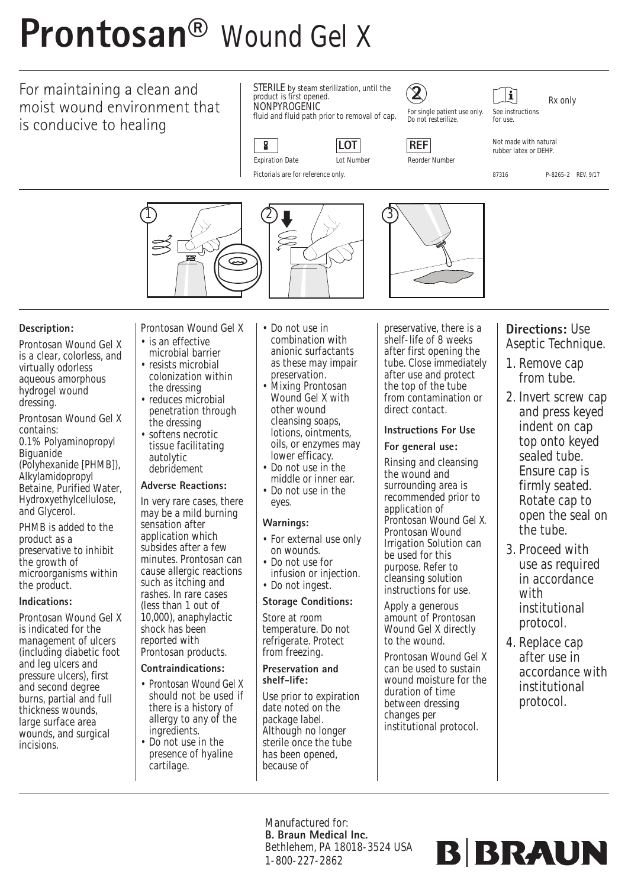# **Prontosan®** Wound Gel X

## For maintaining a clean and moist wound environment that is conducive to healing

STERILE by steam sterilization, until the product is first opened. **NONPYROGENIC** 

fluid and fluid path prior to removal of cap.





For single patient use only. Do not resterilize.

**2**

for use.

See instructions

 $|\mathbf{i}|$ 

Rx only

Not made with natural rubber latex or DEHP.

87316 P-8265-2 REV. 9/17

Pictorials are for reference only.



#### **Description:**

Prontosan Wound Gel X is a clear, colorless, and virtually odorless aqueous amorphous hydrogel wound dressing.

Prontosan Wound Gel X contains:

0.1% Polyaminopropyl Biguanide (Polyhexanide [PHMB]), Alkylamidopropyl Betaine, Purified Water, Hydroxyethylcellulose, and Glycerol.

PHMB is added to the product as a preservative to inhibit the growth of microorganisms within the product.

#### **Indications:**

Prontosan Wound Gel X is indicated for the management of ulcers (including diabetic foot and leg ulcers and pressure ulcers), first and second degree burns, partial and full thickness wounds, large surface area wounds, and surgical incisions.

- Prontosan Wound Gel X • is an effective
- microbial barrier • resists microbial
- colonization within the dressing
- reduces microbial penetration through the dressing
- softens necrotic tissue facilitating autolytic debridement

#### **Adverse Reactions:**

In very rare cases, there may be a mild burning sensation after application which subsides after a few minutes. Prontosan can cause allergic reactions such as itching and rashes. In rare cases (less than 1 out of 10,000), anaphylactic shock has been reported with Prontosan products.

#### **Contraindications:**

- Prontosan Wound Gel X should not be used if there is a history of allergy to any of the ingredients.
- Do not use in the presence of hyaline cartilage.
- Do not use in combination with anionic surfactants as these may impair preservation.
- Mixing Prontosan Wound Gel X with other wound cleansing soaps, lotions, ointments, oils, or enzymes may lower efficacy.
- Do not use in the middle or inner ear.
- Do not use in the eyes.

#### **Warnings:**

- For external use only on wounds.
- Do not use for infusion or injection.
- Do not ingest.

#### **Storage Conditions:**

Store at room temperature. Do not refrigerate. Protect from freezing.

#### **Preservation and shelf-life:**

Use prior to expiration date noted on the package label. Although no longer sterile once the tube has been opened, because of

preservative, there is a shelf-life of 8 weeks after first opening the tube. Close immediately after use and protect the top of the tube from contamination or direct contact.

#### **Instructions For Use For general use:**

Rinsing and cleansing the wound and surrounding area is recommended prior to application of Prontosan Wound Gel X. Prontosan Wound Irrigation Solution can be used for this purpose. Refer to cleansing solution instructions for use.

Apply a generous amount of Prontosan Wound Gel X directly to the wound.

Prontosan Wound Gel X can be used to sustain wound moisture for the duration of time between dressing changes per institutional protocol.

#### **Directions:** Use Aseptic Technique.

- 1. Remove cap from tube.
- 2. Invert screw cap and press keyed indent on cap top onto keyed sealed tube. Ensure cap is firmly seated. Rotate cap to open the seal on the tube.
- 3. Proceed with use as required in accordance with institutional protocol.
- 4. Replace cap after use in accordance with institutional protocol.

Manufactured for: **B. Braun Medical Inc.** Bethlehem, PA 18018-3524 USA 1-800-227-2862

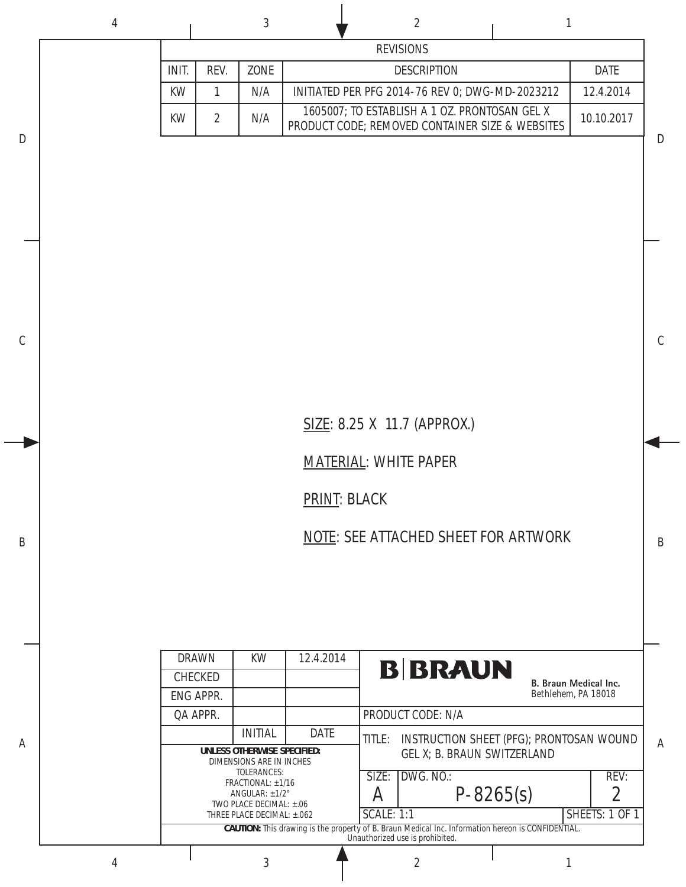|             |      |      | <b>REVISIONS</b>                                                                                 |             |
|-------------|------|------|--------------------------------------------------------------------------------------------------|-------------|
| <b>INIT</b> | RFV. | ZONE | <b>DESCRIPTION</b>                                                                               | <b>DATE</b> |
| <b>KW</b>   |      | N/A  | INITIATED PER PFG 2014-76 REV 0; DWG-MD-2023212                                                  | 12.4.2014   |
| KW          |      | N/A  | 1605007; TO ESTABLISH A 1 OZ. PRONTOSAN GEL X<br>PRODUCT CODE; REMOVED CONTAINER SIZE & WEBSITES | 10.10.2017  |

## SIZE: 8.25 X 11.7 (APPROX.)

## MATERIAL: WHITE PAPER

PRINT: BLACK

A

B

C

D

NOTE: SEE ATTACHED SHEET FOR ARTWORK

| <b>DRAWN</b>    |                                                                                                                                       | KW                                                            | 12.4.2014   |                   |                                          |                       |  |                |  |  |  |  |
|-----------------|---------------------------------------------------------------------------------------------------------------------------------------|---------------------------------------------------------------|-------------|-------------------|------------------------------------------|-----------------------|--|----------------|--|--|--|--|
| <b>CHECKED</b>  |                                                                                                                                       |                                                               |             |                   | <b>B BRAUN</b>                           | B. Braun Medical Inc. |  |                |  |  |  |  |
| ENG APPR.       |                                                                                                                                       |                                                               |             |                   |                                          | Bethlehem, PA 18018   |  |                |  |  |  |  |
| <b>QA APPR.</b> |                                                                                                                                       |                                                               |             |                   | PRODUCT CODE: N/A                        |                       |  |                |  |  |  |  |
|                 |                                                                                                                                       | <b>INITIAL</b>                                                | <b>DATE</b> | TITLE:            | INSTRUCTION SHEET (PFG); PRONTOSAN WOUND |                       |  |                |  |  |  |  |
|                 |                                                                                                                                       | UNLESS OTHERWISE SPECIFIED:<br>DIMENSIONS ARE IN INCHES       |             |                   | GEL X: B. BRAUN SWITZERLAND              |                       |  |                |  |  |  |  |
|                 | TOLERANCES:<br>FRACTIONAL: $\pm$ 1/16                                                                                                 |                                                               |             |                   | DWG. NO.:                                |                       |  | REV:           |  |  |  |  |
|                 |                                                                                                                                       | ANGULAR: $\pm$ 1/2 $^{\circ}$<br>TWO PLACE DECIMAL: $\pm .06$ |             | A                 | $P - 8265(s)$                            |                       |  |                |  |  |  |  |
|                 |                                                                                                                                       | THREE PLACE DECIMAL: ±.062                                    |             | <b>SCALE: 1:1</b> |                                          |                       |  | SHEETS: 1 OF 1 |  |  |  |  |
|                 | CAUTION: This drawing is the property of B. Braun Medical Inc. Information hereon is CONFIDENTIAL.<br>Unauthorized use is prohibited. |                                                               |             |                   |                                          |                       |  |                |  |  |  |  |
|                 |                                                                                                                                       |                                                               |             |                   |                                          |                       |  |                |  |  |  |  |

A

B

C

D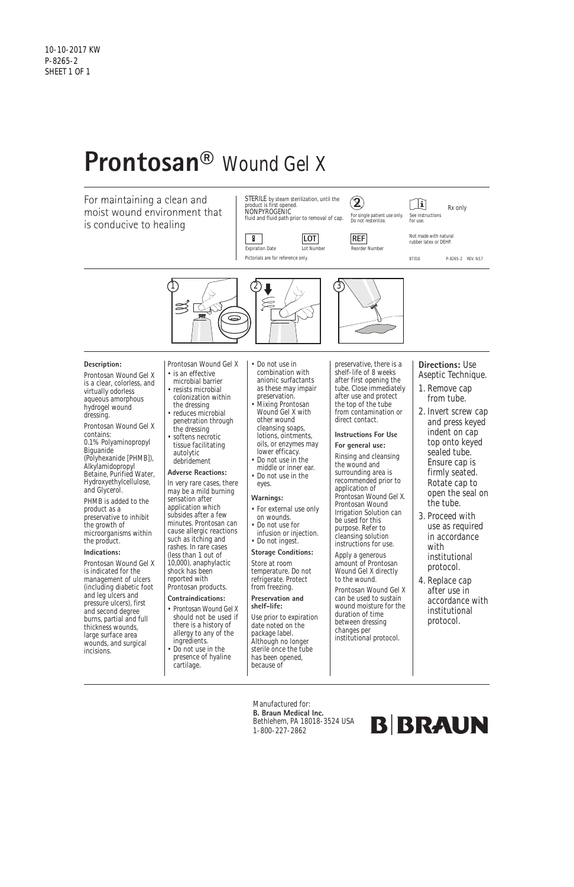# **Prontosan®** Wound Gel X

For maintaining a clean and moist wound environment that is conducive to healing

 $\mathbf{E}$ Rx only See instructions for use.

87316 P-8265-2 REV. 9/17





Pictorials are for reference only.

 $\mathbf{z}$ 

**2**



Expiration Date Lot Number Reorder Number

Not made with natural rubber latex or DEHP.

STERILE by steam sterilization, until the product is first opened. NONPYROGENIC fluid and fluid path prior to removal of cap.

#### **Description:**

- Prontosan Wound Gel X is a clear, colorless, and virtually odorless aqueous amorphous hydrogel wound dressing.
- Prontosan Wound Gel X contains: 0.1% Polyaminopropyl **Biguanide** (Polyhexanide [PHMB]), Alkylamidopropyl Betaine, Purified Water, Hydroxyethylcellulose, and Glycerol.

PHMB is added to the product as a preservative to inhibit the growth of microorganisms within the product.

#### **Indications:**

Prontosan Wound Gel X is indicated for the management of ulcers (including diabetic foot and leg ulcers and pressure ulcers), first and second degree burns, partial and full thickness wounds, large surface area wounds, and surgical incisions.

- Prontosan Wound Gel X • is an effective
- microbial barrier • resists microbial colonization within
- the dressing • reduces microbial penetration through the dressing
- softens necrotic tissue facilitating autolytic debridement

#### **Adverse Reactions:**

In very rare cases, there may be a mild burning sensation after application which subsides after a few minutes. Prontosan can cause allergic reactions such as itching and rashes. In rare cases (less than 1 out of 10,000), anaphylactic shock has been reported with Prontosan products.

#### **Contraindications:**

- Prontosan Wound Gel X should not be used if there is a history of allergy to any of the ingredients.
- Do not use in the

cartilage.

- Do not use in combination with anionic surfactants as these may impair preservation.
- Mixing Prontosan Wound Gel X with other wound cleansing soaps, lotions, ointments, oils, or enzymes may lower efficacy.
- Do not use in the middle or inner ear.
- Do not use in the eyes.

#### **Warnings:**

presence of hyaline has been opened, because of

- For external use only on wounds.
- Do not use for infusion or injection.
	- Do not ingest. **Storage Conditions:**

#### Store at room temperature. Do not refrigerate. Protect from freezing.

**Preservation and shelf-life:**

Use prior to expiration date noted on the package label. Although no longer sterile once the tube

preservative, there is a shelf-life of 8 weeks after first opening the tube. Close immediately after use and protect the top of the tube from contamination or direct contact.

## **Instructions For Use**

**For general use:** Rinsing and cleansing the wound and surrounding area is recommended prior to application of Prontosan Wound Gel X. Prontosan Wound Irrigation Solution can be used for this purpose. Refer to cleansing solution instructions for use.

Apply a generous amount of Prontosan Wound Gel X directly to the wound.

Prontosan Wound Gel X can be used to sustain wound moisture for the duration of time between dressing changes per institutional protocol.

#### **Directions:** Use Aseptic Technique.

- 1. Remove cap from tube.
- 2. Invert screw cap and press keyed indent on cap top onto keyed sealed tube. Ensure cap is firmly seated. Rotate cap to open the seal on the tube.
- 3. Proceed with use as required in accordance with institutional protocol.
- 4. Replace cap after use in accordance with institutional protocol.

Manufactured for: **B. Braun Medical Inc.** Bethlehem, PA 18018-3524 USA 1-800-227-2862

## **B BRAUN**